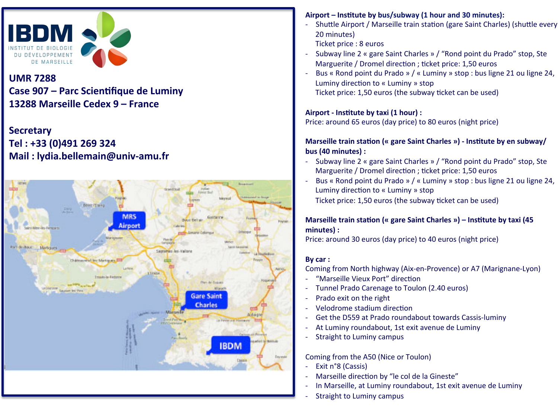

# **UMR 7288**  Case 907 – Parc Scientifique de Luminy **13288 Marseille Cedex 9 – France**

## **Secretary Tel : +33 (0)491 269 324 Mail : lydia.bellemain@univ-amu.fr**



### Airport – Institute by bus/subway (1 hour and 30 minutes):

- Shuttle Airport / Marseille train station (gare Saint Charles) (shuttle every 20 minutes)
- Ticket price : 8 euros
- Subway line 2 « gare Saint Charles » / "Rond point du Prado" stop, Ste Marguerite / Dromel direction ; ticket price: 1,50 euros
- Bus « Rond point du Prado » / « Luminy » stop : bus ligne 21 ou ligne 24, Luminy direction to « Luminy » stop Ticket price: 1,50 euros (the subway ticket can be used)

#### Airport - Institute by taxi (1 hour) :

Price: around 65 euros (day price) to 80 euros (night price)

#### **Marseille train station (« gare Saint Charles ») - Institute by en subway/ bus** (40 minutes) :

- Subway line 2 « gare Saint Charles » / "Rond point du Prado" stop, Ste Marguerite / Dromel direction ; ticket price: 1,50 euros
- Bus « Rond point du Prado » / « Luminy » stop : bus ligne 21 ou ligne 24, Luminy direction to « Luminy » stop Ticket price: 1,50 euros (the subway ticket can be used)

#### **Marseille train station (« gare Saint Charles ») – Institute by taxi (45** minutes) :

Price: around 30 euros (day price) to 40 euros (night price)

#### By car :

Coming from North highway (Aix-en-Provence) or A7 (Marignane-Lyon)

- "Marseille Vieux Port" direction
- Tunnel Prado Carenage to Toulon (2.40 euros)
- Prado exit on the right
- Velodrome stadium direction
- Get the D559 at Prado roundabout towards Cassis-luminy
- At Luminy roundabout, 1st exit avenue de Luminy
- Straight to Luminy campus

Coming from the A50 (Nice or Toulon)

- Exit n°8 (Cassis)
- Marseille direction by "le col de la Gineste"
- In Marseille, at Luminy roundabout, 1st exit avenue de Luminy
- Straight to Luminy campus